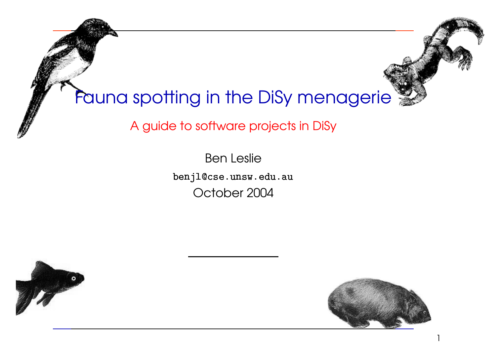# Fauna spotting in the DiSy menagerie

A guide to software projects in DiSy

  $\overline{a}$  $\overline{a}$  $\overline{a}$  $\overline{a}$   $\ddot{\phantom{0}}$  $\begin{bmatrix} 1 & 1 \\ 1 & 1 \\ 1 & 1 \end{bmatrix}$   $\frac{1}{2}$  $\ddot{\phantom{0}}$  $\frac{1}{2}$   $\ddot{\phantom{0}}$  $\ddot{\phantom{a}}$  Ben Leslie benjl@cse.unsw.edu.au --I October 2004





1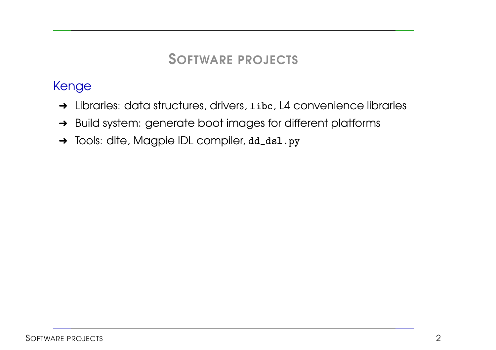SOFTWARE PROJECTS

#### Kenge

- → Libraries: data structures, drivers, libc, L4 convenience libraries
- → Build system: generate boot images for different platforms  $\ddot{\phantom{a}}$
- → Tools: dite, Magpie IDL compiler, dd\_ds1.py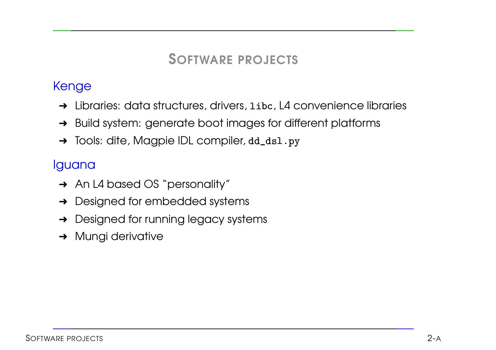#### SOFTWARE PROJECTS

#### Kenge

- → Libraries: data structures, drivers, libc, L4 convenience libraries
- → Build system: generate boot images for different platforms  $\ddot{\phantom{a}}$
- → Tools: dite, Magpie IDL compiler, dd\_ds1.py

#### Iguana

- → An L4 based OS "personality"
- **→** Designed for embedded systems
- **→** Designed for running legacy systems
- **→ Mungi derivative**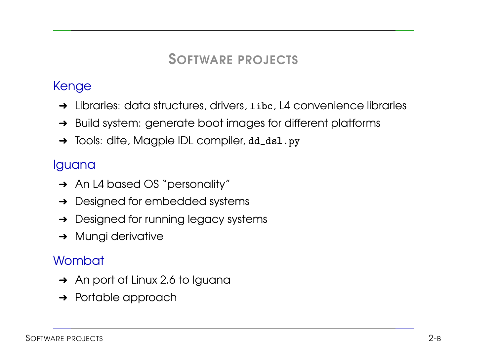#### SOFTWARE PROJECTS

#### Kenge

- → Libraries: data structures, drivers, libc, L4 convenience libraries
- → Build system: generate boot images for different platforms  $\ddot{\phantom{a}}$
- $\rightarrow$  Tools: dite, Magpie IDL compiler,  $dd\_ds1.py$

#### Iguana

- **→** An L4 based OS "personality"
- **→** Designed for embedded systems
- **→** Designed for running legacy systems
- **→ Mungi derivative**

#### **Wombat**

- → An port of Linux 2.6 to Iguana
- **→** Portable approach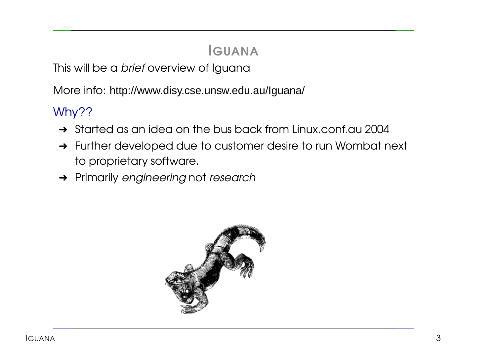# IGUANA

This will be a *brief* overview of Iguana

More info: http://www.disy.cse.unsw.edu.au/Iguana/

### Why??

- → Started as an idea on the bus back from Linux.conf.au 2004
- → Further developed due to customer desire to run Wombat next to proprietary software.
- **→** Primarily engineering not research

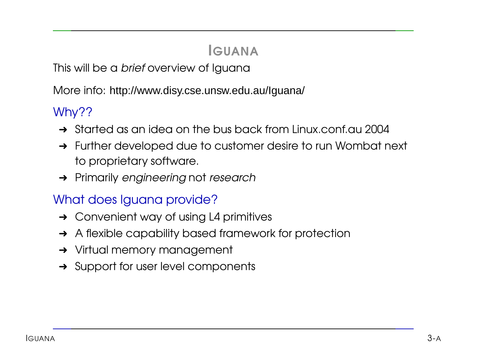# IGUANA

This will be a *brief* overview of Iguana

More info: http://www.disy.cse.unsw.edu.au/Iguana/

### Why??

- → Started as an idea on the bus back from Linux.conf.au 2004
- **→** Further developed due to customer desire to run Wombat next to proprietary software.
- **→** Primarily engineering not research

#### What does Iguana provide?

- $\rightarrow$  Convenient way of using L4 primitives
- **→** A flexible capability based framework for protection
- **→** Virtual memory management
- **→** Support for user level components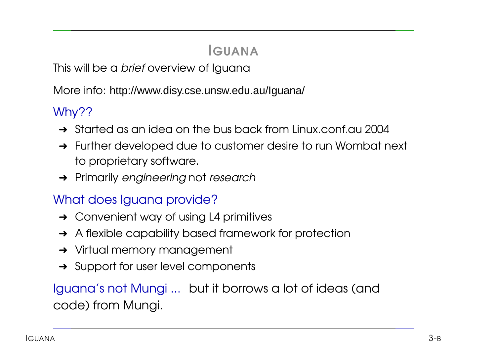# IGUANA

This will be a *brief* overview of Iguana

More info: http://www.disy.cse.unsw.edu.au/Iguana/

### Why??

- → Started as an idea on the bus back from Linux.conf.au 2004
- **→** Further developed due to customer desire to run Wombat next to proprietary software.
- **→** Primarily engineering not research

### What does Iguana provide?

- $\rightarrow$  Convenient way of using L4 primitives
- **→** A flexible capability based framework for protection
- **→** Virtual memory management
- **→** Support for user level components

Iguana's not Mungi ... but it borrows <sup>a</sup> lot of ideas (and code) from Mungi.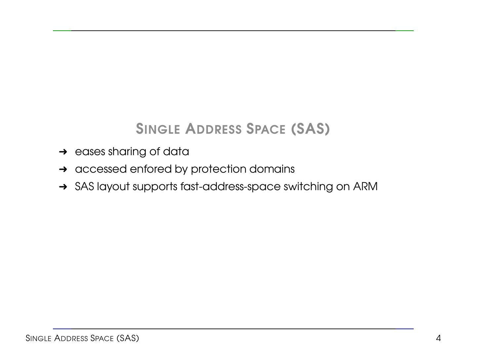# SINGLE ADDRESS SPACE (SAS)

- $\rightarrow$  eases sharing of data
- → accessed enfored by protection domains
- → SAS layout supports fast-address-space switching on ARM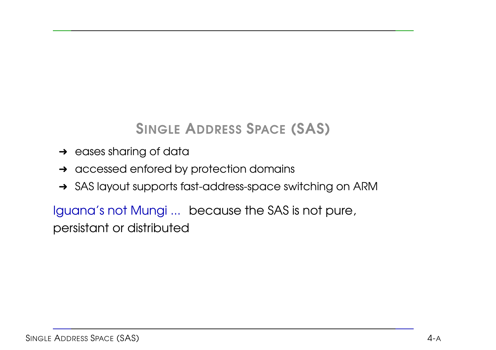# SINGLE ADDRESS SPACE (SAS)

- $\rightarrow$  eases sharing of data
- **→** accessed enfored by protection domains
- → SAS layout supports fast-address-space switching on ARM

Iguana's not Mungi ... because the SAS is not pure, persistant or distributed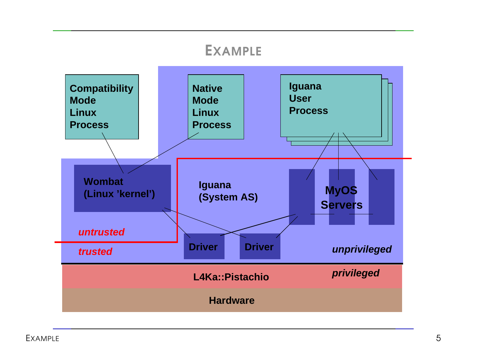#### EXAMPLE

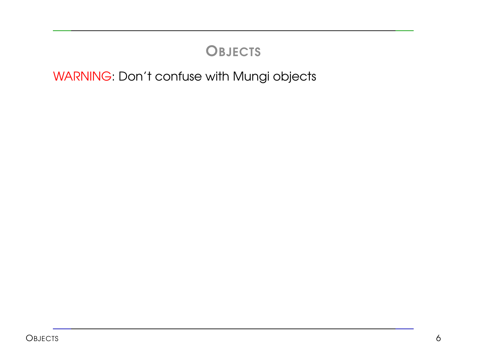WARNING: Don't confuse with Mungi objects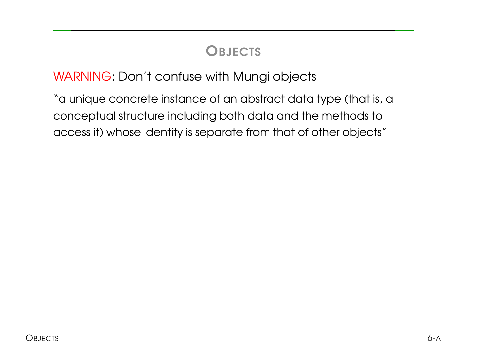#### WARNING: Don't confuse with Mungi objects

"a unique concrete instance of an abstract data type (that is, <sup>a</sup> conceptual structure including both data and the methods to access it) whose identity is separate from that of other objects"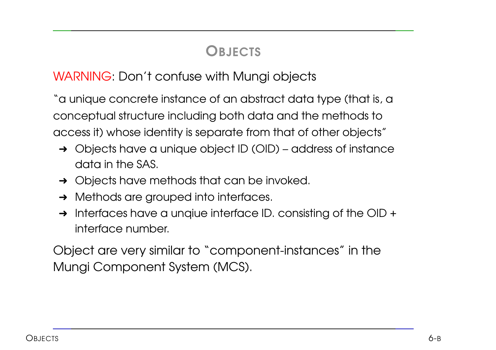#### WARNING: Don't confuse with Mungi objects

"a unique concrete instance of an abstract data type (that is, <sup>a</sup> conceptual structure including both data and the methods to access it) whose identity is separate from that of other objects"

- ➜ Objects have <sup>a</sup> unique object ID (OID) address of instance data in the SAS.
- **→** Objects have methods that can be invoked.
- $\rightarrow$  Methods are grouped into interfaces.
- $\rightarrow$  Interfaces have a unqiue interface ID. consisting of the OID + interface number.

Object are very similar to "component-instances" in the Mungi Component System (MCS).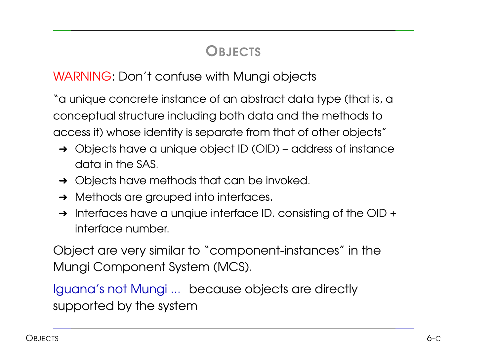#### WARNING: Don't confuse with Mungi objects

"a unique concrete instance of an abstract data type (that is, <sup>a</sup> conceptual structure including both data and the methods to access it) whose identity is separate from that of other objects"

- ➜ Objects have <sup>a</sup> unique object ID (OID) address of instance data in the SAS.
- **→** Objects have methods that can be invoked.
- $\rightarrow$  Methods are grouped into interfaces.
- $\rightarrow$  Interfaces have a unqiue interface ID. consisting of the OID + interface number.

Object are very similar to "component-instances" in the Mungi Component System (MCS).

Iguana's not Mungi ... because objects are directly supported by the system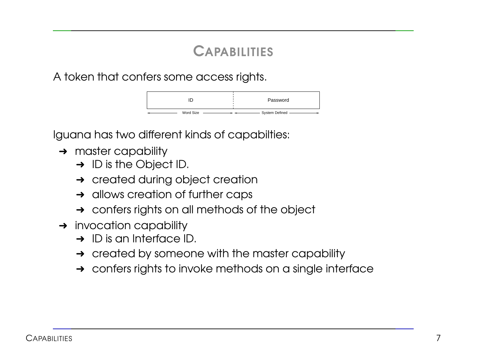### **CAPABILITIES**

A token that confers some access rights.

|           | Password         |
|-----------|------------------|
| Word Size | System Defined - |

Iguana has two different kinds of capabilties:

- $\rightarrow$  master capability
	- → ID is the Object ID.
	- **→** created during object creation
	- **→** allows creation of further caps
	- **→** confers rights on all methods of the object
- $\rightarrow$  invocation capability
	- $\rightarrow$  ID is an Interface ID.
	- $\rightarrow$  created by someone with the master capability
	- → confers rights to invoke methods on a single interface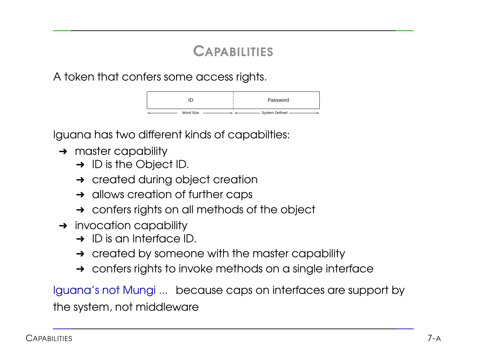# **CAPABILITIES**

A token that confers some access rights.

|           | Password         |
|-----------|------------------|
| Word Size | System Defined - |

Iguana has two different kinds of capabilties:

- $\rightarrow$  master capability
	- $\rightarrow$  ID is the Object ID.
	- **→** created during object creation
	- $\rightarrow$  allows creation of further caps
	- **→** confers rights on all methods of the object
- $\rightarrow$  invocation capability
	- $\rightarrow$  ID is an Interface ID.
	- $\rightarrow$  created by someone with the master capability
	- → confers rights to invoke methods on a single interface

Iguana's not Mungi ... because caps on interfaces are support by the system, not middleware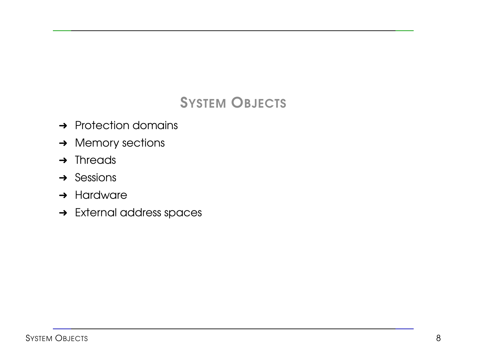# SYSTEM OBJECTS

- **→** Protection domains
- **→ Memory sections**
- $\rightarrow$  Threads
- $\rightarrow$  Sessions
- **→ Hardware**
- → External address spaces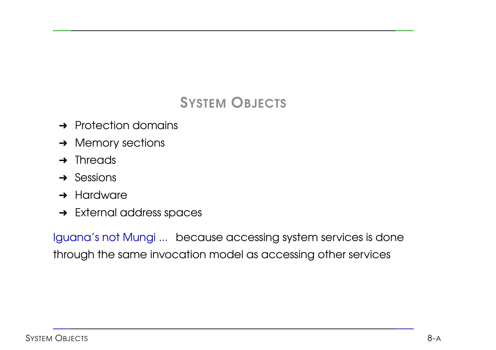### SYSTEM OBJECTS

- $\rightarrow$  Protection domains
- **→ Memory sections**
- $\rightarrow$  Threads
- $\rightarrow$  Sessions
- $\rightarrow$  Hardware
- **→** External address spaces

Iguana's not Mungi ... because accessing system services is done through the same invocation model as accessing other services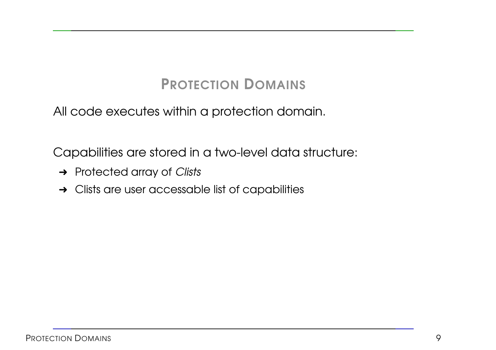# PROTECTION DOMAINS

All code executes within <sup>a</sup> protection domain.

Capabilities are stored in <sup>a</sup> two-level data structure:

- → Protected array of Clists
- $\rightarrow$  Clists are user accessable list of capabilities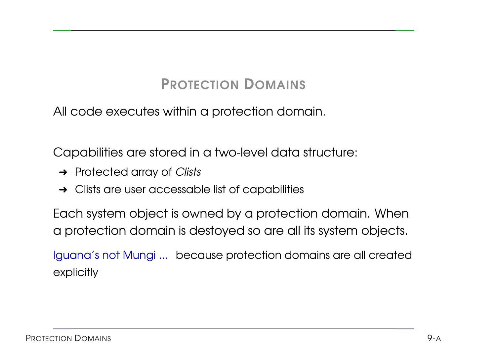# PROTECTION DOMAINS

All code executes within <sup>a</sup> protection domain.

Capabilities are stored in <sup>a</sup> two-level data structure:

- $\rightarrow$  Protected array of Clists
- $\rightarrow$  Clists are user accessable list of capabilities

Each system object is owned by <sup>a</sup> protection domain. When <sup>a</sup> protection domain is destoyed so are all its system objects.

Iguana's not Mungi ... because protection domains are all created explicitly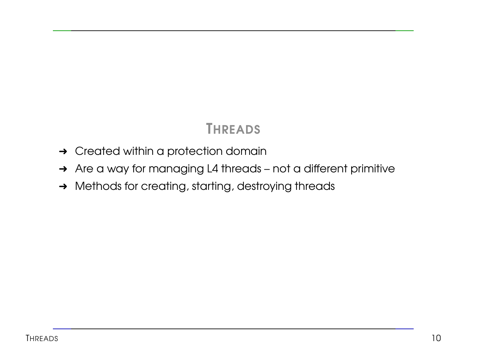### **THREADS**

- **→ Created within a protection domain**
- → Are a way for managing L4 threads not a different primitive
- → Methods for creating, starting, destroying threads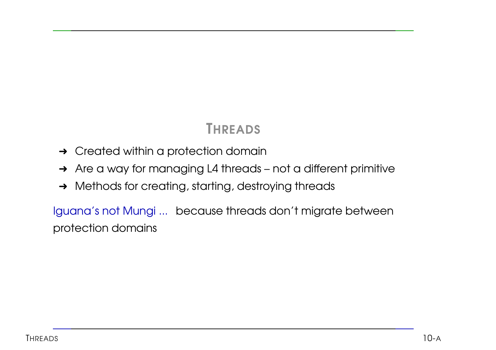### THREADS

- **→ Created within a protection domain**
- → Are a way for managing L4 threads not a different primitive
- → Methods for creating, starting, destroying threads

Iguana's not Mungi ... because threads don't migrate between protection domains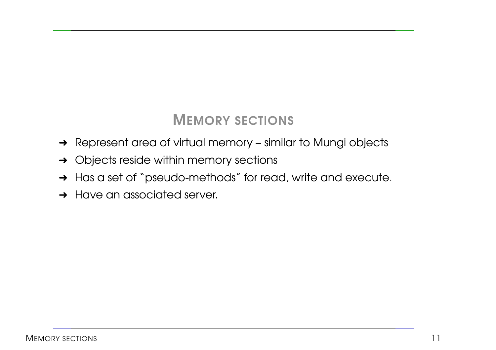### MEMORY SECTIONS

- → Represent area of virtual memory similar to Mungi objects
- **→** Objects reside within memory sections
- → Has a set of "pseudo-methods" for read, write and execute.
- **→ Have an associated server.**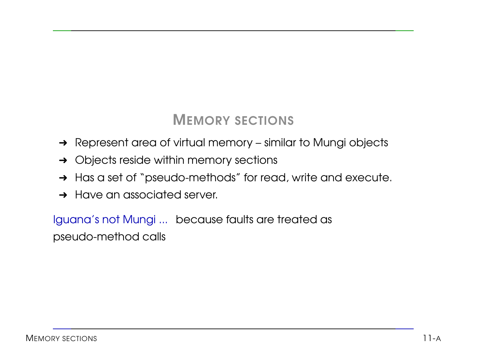### MEMORY SECTIONS

- → Represent area of virtual memory similar to Mungi objects
- **→** Objects reside within memory sections
- → Has a set of "pseudo-methods" for read, write and execute.
- **→ Have an associated server.**

Iguana's not Mungi ... because faults are treated as pseudo-method calls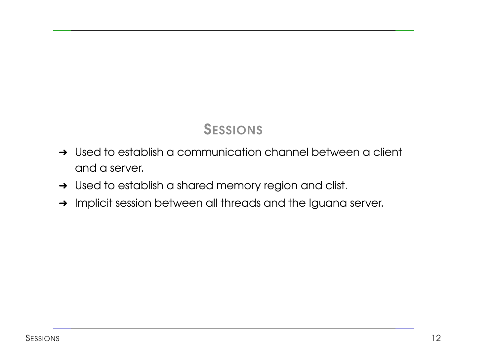### SESSIONS

- → Used to establish a communication channel between a client and a server.
- → Used to establish a shared memory region and clist.
- → Implicit session between all threads and the Iguana server.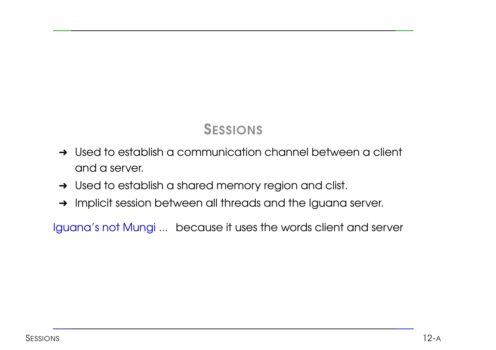### SESSIONS

- → Used to establish a communication channel between a client and a server.
- → Used to establish a shared memory region and clist.
- → Implicit session between all threads and the Iguana server.

Iguana's not Mungi ... because it uses the words client and server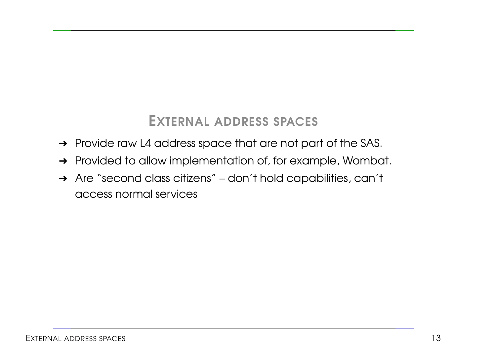#### EXTERNAL ADDRESS SPACES

- → Provide raw L4 address space that are not part of the SAS.
- → Provided to allow implementation of, for example, Wombat.
- → Are "second class citizens" don't hold capabilities, can't access normal services